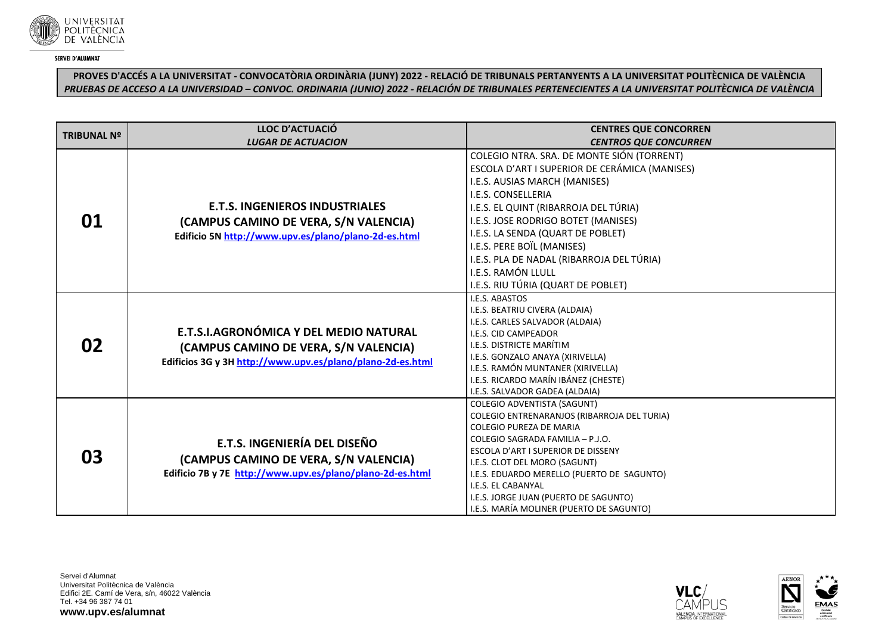

# **PROVES D'ACCÉS A LA UNIVERSITAT - CONVOCATÒRIA ORDINÀRIA (JUNY) 2022 - RELACIÓ DE TRIBUNALS PERTANYENTS A LA UNIVERSITAT POLITÈCNICA DE VALÈNCIA** *PRUEBAS DE ACCESO A LA UNIVERSIDAD – CONVOC. ORDINARIA (JUNIO) 2022 - RELACIÓN DE TRIBUNALES PERTENECIENTES A LA UNIVERSITAT POLITÈCNICA DE VALÈNCIA*

| <b>TRIBUNAL Nº</b> | <b>LLOC D'ACTUACIÓ</b>                                     | <b>CENTRES QUE CONCORREN</b>                                                  |
|--------------------|------------------------------------------------------------|-------------------------------------------------------------------------------|
|                    | <b>LUGAR DE ACTUACION</b>                                  | <b>CENTROS QUE CONCURREN</b>                                                  |
|                    |                                                            | COLEGIO NTRA. SRA. DE MONTE SIÓN (TORRENT)                                    |
|                    |                                                            | ESCOLA D'ART I SUPERIOR DE CERÁMICA (MANISES)                                 |
|                    |                                                            | I.E.S. AUSIAS MARCH (MANISES)                                                 |
|                    |                                                            | I.E.S. CONSELLERIA                                                            |
|                    | <b>E.T.S. INGENIEROS INDUSTRIALES</b>                      | I.E.S. EL QUINT (RIBARROJA DEL TÚRIA)                                         |
| 01                 | (CAMPUS CAMINO DE VERA, S/N VALENCIA)                      | I.E.S. JOSE RODRIGO BOTET (MANISES)                                           |
|                    | Edificio 5N http://www.upv.es/plano/plano-2d-es.html       | I.E.S. LA SENDA (QUART DE POBLET)                                             |
|                    |                                                            | I.E.S. PERE BOÏL (MANISES)                                                    |
|                    |                                                            | I.E.S. PLA DE NADAL (RIBARROJA DEL TÚRIA)                                     |
|                    |                                                            | I.E.S. RAMÓN LLULL                                                            |
|                    |                                                            | I.E.S. RIU TÚRIA (QUART DE POBLET)                                            |
|                    |                                                            | I.E.S. ABASTOS                                                                |
|                    |                                                            | I.E.S. BEATRIU CIVERA (ALDAIA)                                                |
|                    |                                                            | I.E.S. CARLES SALVADOR (ALDAIA)                                               |
|                    | E.T.S.I.AGRONÓMICA Y DEL MEDIO NATURAL                     | I.E.S. CID CAMPEADOR                                                          |
| 02                 | (CAMPUS CAMINO DE VERA, S/N VALENCIA)                      | I.E.S. DISTRICTE MARÍTIM                                                      |
|                    | Edificios 3G y 3H http://www.upv.es/plano/plano-2d-es.html | I.E.S. GONZALO ANAYA (XIRIVELLA)                                              |
|                    |                                                            | I.E.S. RAMÓN MUNTANER (XIRIVELLA)                                             |
|                    |                                                            | I.E.S. RICARDO MARÍN IBÁNEZ (CHESTE)                                          |
|                    |                                                            | I.E.S. SALVADOR GADEA (ALDAIA)                                                |
|                    |                                                            | COLEGIO ADVENTISTA (SAGUNT)                                                   |
|                    |                                                            | COLEGIO ENTRENARANJOS (RIBARROJA DEL TURIA)<br><b>COLEGIO PUREZA DE MARIA</b> |
|                    |                                                            | COLEGIO SAGRADA FAMILIA - P.J.O.                                              |
|                    | E.T.S. INGENIERÍA DEL DISEÑO                               | ESCOLA D'ART I SUPERIOR DE DISSENY                                            |
| 03                 | (CAMPUS CAMINO DE VERA, S/N VALENCIA)                      | I.E.S. CLOT DEL MORO (SAGUNT)                                                 |
|                    | Edificio 7B y 7E http://www.upv.es/plano/plano-2d-es.html  | I.E.S. EDUARDO MERELLO (PUERTO DE SAGUNTO)                                    |
|                    |                                                            | I.E.S. EL CABANYAL                                                            |
|                    |                                                            | I.E.S. JORGE JUAN (PUERTO DE SAGUNTO)                                         |
|                    |                                                            | I.E.S. MARÍA MOLINER (PUERTO DE SAGUNTO)                                      |

Servei d'Alumnat Universitat Politècnica de València Edifici 2E. Camí de Vera, s/n, 46022 València Tel. +34 96 387 74 01 **www.upv.es/alumnat**



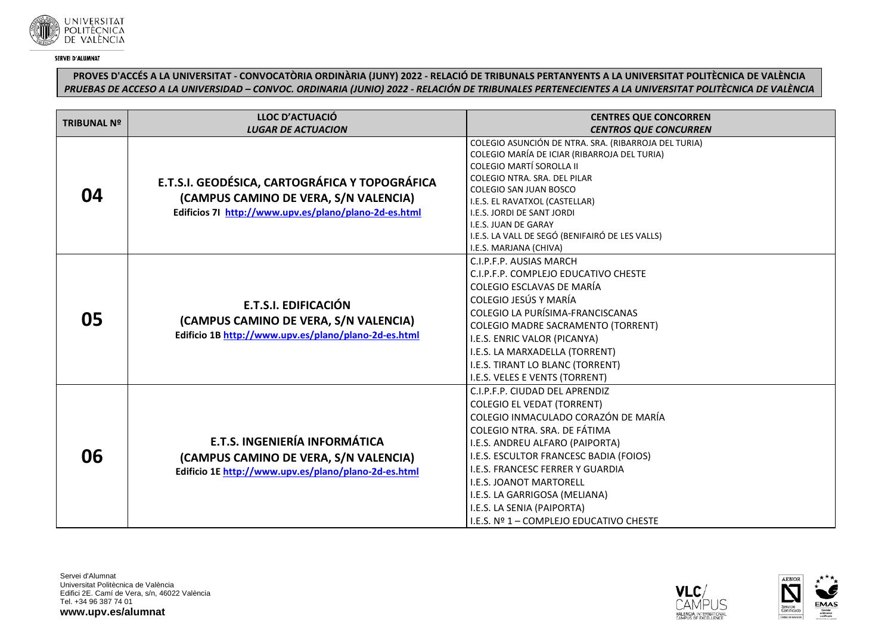

**PROVES D'ACCÉS A LA UNIVERSITAT - CONVOCATÒRIA ORDINÀRIA (JUNY) 2022 - RELACIÓ DE TRIBUNALS PERTANYENTS A LA UNIVERSITAT POLITÈCNICA DE VALÈNCIA** *PRUEBAS DE ACCESO A LA UNIVERSIDAD – CONVOC. ORDINARIA (JUNIO) 2022 - RELACIÓN DE TRIBUNALES PERTENECIENTES A LA UNIVERSITAT POLITÈCNICA DE VALÈNCIA*

| <b>TRIBUNAL Nº</b> | LLOC D'ACTUACIÓ                                                                                                                                  | <b>CENTRES QUE CONCORREN</b>                                             |
|--------------------|--------------------------------------------------------------------------------------------------------------------------------------------------|--------------------------------------------------------------------------|
|                    | <b>LUGAR DE ACTUACION</b>                                                                                                                        | <b>CENTROS QUE CONCURREN</b>                                             |
|                    | E.T.S.I. GEODÉSICA, CARTOGRÁFICA Y TOPOGRÁFICA<br>(CAMPUS CAMINO DE VERA, S/N VALENCIA)<br>Edificios 71 http://www.upv.es/plano/plano-2d-es.html | COLEGIO ASUNCIÓN DE NTRA. SRA. (RIBARROJA DEL TURIA)                     |
|                    |                                                                                                                                                  | COLEGIO MARÍA DE ICIAR (RIBARROJA DEL TURIA)<br>COLEGIO MARTÍ SOROLLA II |
|                    |                                                                                                                                                  | COLEGIO NTRA, SRA, DEL PILAR                                             |
| 04                 |                                                                                                                                                  | COLEGIO SAN JUAN BOSCO                                                   |
|                    |                                                                                                                                                  | I.E.S. EL RAVATXOL (CASTELLAR)                                           |
|                    |                                                                                                                                                  | I.E.S. JORDI DE SANT JORDI                                               |
|                    |                                                                                                                                                  | I.E.S. JUAN DE GARAY                                                     |
|                    |                                                                                                                                                  | I.E.S. LA VALL DE SEGÓ (BENIFAIRÓ DE LES VALLS)                          |
|                    |                                                                                                                                                  | I.E.S. MARJANA (CHIVA)                                                   |
| 05                 | E.T.S.I. EDIFICACIÓN<br>(CAMPUS CAMINO DE VERA, S/N VALENCIA)<br>Edificio 1B http://www.upv.es/plano/plano-2d-es.html                            | C.I.P.F.P. AUSIAS MARCH                                                  |
|                    |                                                                                                                                                  | C.I.P.F.P. COMPLEJO EDUCATIVO CHESTE                                     |
|                    |                                                                                                                                                  | COLEGIO ESCLAVAS DE MARÍA                                                |
|                    |                                                                                                                                                  | COLEGIO JESÚS Y MARÍA                                                    |
|                    |                                                                                                                                                  | COLEGIO LA PURÍSIMA-FRANCISCANAS                                         |
|                    |                                                                                                                                                  | <b>COLEGIO MADRE SACRAMENTO (TORRENT)</b>                                |
|                    |                                                                                                                                                  | I.E.S. ENRIC VALOR (PICANYA)                                             |
|                    |                                                                                                                                                  | I.E.S. LA MARXADELLA (TORRENT)                                           |
|                    |                                                                                                                                                  | I.E.S. TIRANT LO BLANC (TORRENT)                                         |
|                    |                                                                                                                                                  | I.E.S. VELES E VENTS (TORRENT)                                           |
|                    | <b>E.T.S. INGENIERÍA INFORMÁTICA</b><br>(CAMPUS CAMINO DE VERA, S/N VALENCIA)<br>Edificio 1E http://www.upv.es/plano/plano-2d-es.html            | C.I.P.F.P. CIUDAD DEL APRENDIZ                                           |
|                    |                                                                                                                                                  | <b>COLEGIO EL VEDAT (TORRENT)</b>                                        |
|                    |                                                                                                                                                  | COLEGIO INMACULADO CORAZÓN DE MARÍA                                      |
|                    |                                                                                                                                                  | COLEGIO NTRA. SRA. DE FÁTIMA                                             |
|                    |                                                                                                                                                  | I.E.S. ANDREU ALFARO (PAIPORTA)                                          |
| 06                 |                                                                                                                                                  | I.E.S. ESCULTOR FRANCESC BADIA (FOIOS)                                   |
|                    |                                                                                                                                                  | I.E.S. FRANCESC FERRER Y GUARDIA                                         |
|                    |                                                                                                                                                  | <b>I.E.S. JOANOT MARTORELL</b>                                           |
|                    |                                                                                                                                                  | I.E.S. LA GARRIGOSA (MELIANA)                                            |
|                    |                                                                                                                                                  | I.E.S. LA SENIA (PAIPORTA)                                               |
|                    |                                                                                                                                                  | I.E.S. Nº 1 - COMPLEJO EDUCATIVO CHESTE                                  |



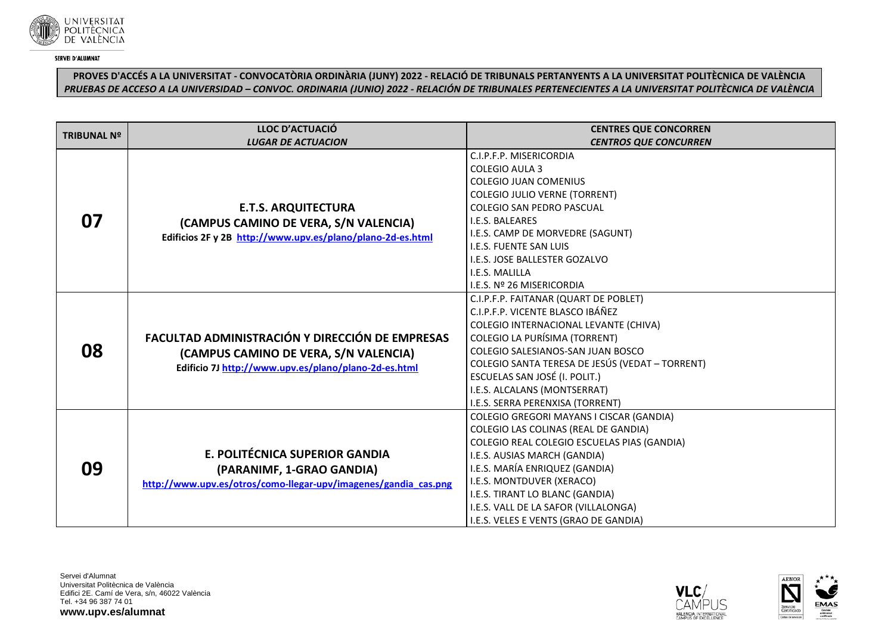

# **PROVES D'ACCÉS A LA UNIVERSITAT - CONVOCATÒRIA ORDINÀRIA (JUNY) 2022 - RELACIÓ DE TRIBUNALS PERTANYENTS A LA UNIVERSITAT POLITÈCNICA DE VALÈNCIA** *PRUEBAS DE ACCESO A LA UNIVERSIDAD – CONVOC. ORDINARIA (JUNIO) 2022 - RELACIÓN DE TRIBUNALES PERTENECIENTES A LA UNIVERSITAT POLITÈCNICA DE VALÈNCIA*

| <b>TRIBUNAL Nº</b> | LLOC D'ACTUACIÓ<br><b>LUGAR DE ACTUACION</b>                    | <b>CENTRES QUE CONCORREN</b><br><b>CENTROS QUE CONCURREN</b>                                |
|--------------------|-----------------------------------------------------------------|---------------------------------------------------------------------------------------------|
|                    |                                                                 | C.I.P.F.P. MISERICORDIA                                                                     |
|                    |                                                                 | <b>COLEGIO AULA 3</b>                                                                       |
|                    |                                                                 | <b>COLEGIO JUAN COMENIUS</b>                                                                |
|                    |                                                                 | <b>COLEGIO JULIO VERNE (TORRENT)</b>                                                        |
|                    | <b>E.T.S. ARQUITECTURA</b>                                      | <b>COLEGIO SAN PEDRO PASCUAL</b>                                                            |
| 07                 | (CAMPUS CAMINO DE VERA, S/N VALENCIA)                           | I.E.S. BALEARES                                                                             |
|                    | Edificios 2F y 2B http://www.upv.es/plano/plano-2d-es.html      | I.E.S. CAMP DE MORVEDRE (SAGUNT)                                                            |
|                    |                                                                 | <b>I.E.S. FUENTE SAN LUIS</b>                                                               |
|                    |                                                                 | I.E.S. JOSE BALLESTER GOZALVO                                                               |
|                    |                                                                 | I.E.S. MALILLA                                                                              |
|                    |                                                                 | I.E.S. Nº 26 MISERICORDIA                                                                   |
|                    |                                                                 | C.I.P.F.P. FAITANAR (QUART DE POBLET)                                                       |
|                    |                                                                 | C.I.P.F.P. VICENTE BLASCO IBÁÑEZ                                                            |
|                    |                                                                 | COLEGIO INTERNACIONAL LEVANTE (CHIVA)                                                       |
|                    | FACULTAD ADMINISTRACIÓN Y DIRECCIÓN DE EMPRESAS                 | <b>COLEGIO LA PURÍSIMA (TORRENT)</b>                                                        |
| 08                 | (CAMPUS CAMINO DE VERA, S/N VALENCIA)                           | COLEGIO SALESIANOS-SAN JUAN BOSCO<br><b>COLEGIO SANTA TERESA DE JESÚS (VEDAT - TORRENT)</b> |
|                    | Edificio 7J http://www.upv.es/plano/plano-2d-es.html            | ESCUELAS SAN JOSÉ (I. POLIT.)                                                               |
|                    |                                                                 | I.E.S. ALCALANS (MONTSERRAT)                                                                |
|                    |                                                                 | I.E.S. SERRA PERENXISA (TORRENT)                                                            |
|                    |                                                                 | COLEGIO GREGORI MAYANS I CISCAR (GANDIA)                                                    |
| 09                 |                                                                 | COLEGIO LAS COLINAS (REAL DE GANDIA)                                                        |
|                    |                                                                 | COLEGIO REAL COLEGIO ESCUELAS PIAS (GANDIA)                                                 |
|                    | E. POLITÉCNICA SUPERIOR GANDIA                                  | I.E.S. AUSIAS MARCH (GANDIA)                                                                |
|                    | (PARANIMF, 1-GRAO GANDIA)                                       | I.E.S. MARÍA ENRIQUEZ (GANDIA)                                                              |
|                    | http://www.upv.es/otros/como-llegar-upv/imagenes/gandia_cas.png | I.E.S. MONTDUVER (XERACO)                                                                   |
|                    |                                                                 | I.E.S. TIRANT LO BLANC (GANDIA)                                                             |
|                    |                                                                 | I.E.S. VALL DE LA SAFOR (VILLALONGA)                                                        |
|                    |                                                                 | I.E.S. VELES E VENTS (GRAO DE GANDIA)                                                       |